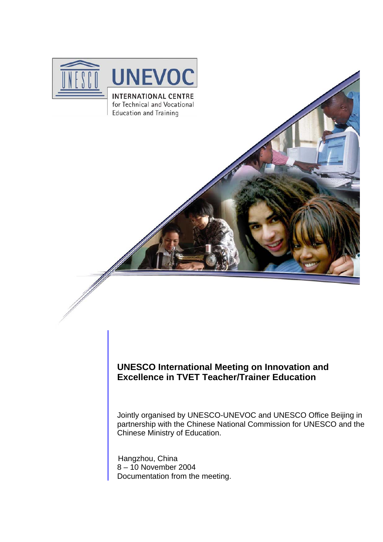

# **UNESCO International Meeting on Innovation and Excellence in TVET Teacher/Trainer Education**

Jointly organised by UNESCO-UNEVOC and UNESCO Office Beijing in partnership with the Chinese National Commission for UNESCO and the Chinese Ministry of Education.

 Hangzhou, China 8 – 10 November 2004 Documentation from the meeting.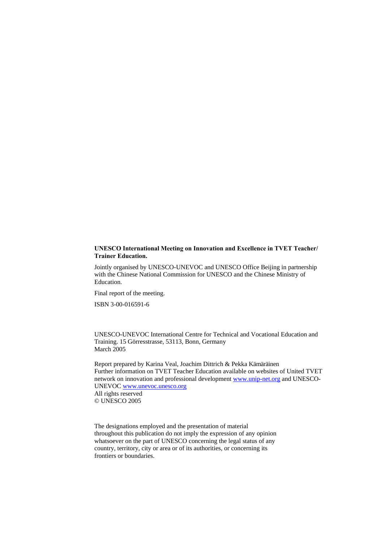#### **UNESCO International Meeting on Innovation and Excellence in TVET Teacher/ Trainer Education.**

Jointly organised by UNESCO-UNEVOC and UNESCO Office Beijing in partnership with the Chinese National Commission for UNESCO and the Chinese Ministry of Education.

Final report of the meeting.

ISBN 3-00-016591-6

UNESCO-UNEVOC International Centre for Technical and Vocational Education and Training. 15 Görresstrasse, 53113, Bonn, Germany March 2005

Report prepared by Karina Veal, Joachim Dittrich & Pekka Kämäräinen Further information on TVET Teacher Education available on websites of United TVET network on innovation and professional development [www.unip-net.org](http://www.unip-net.org/) and UNESCO-UNEVOC [www.unevoc.unesco.org](http://www.unevoc.unesco.org/)  All rights reserved © UNESCO 2005

The designations employed and the presentation of material throughout this publication do not imply the expression of any opinion whatsoever on the part of UNESCO concerning the legal status of any country, territory, city or area or of its authorities, or concerning its frontiers or boundaries.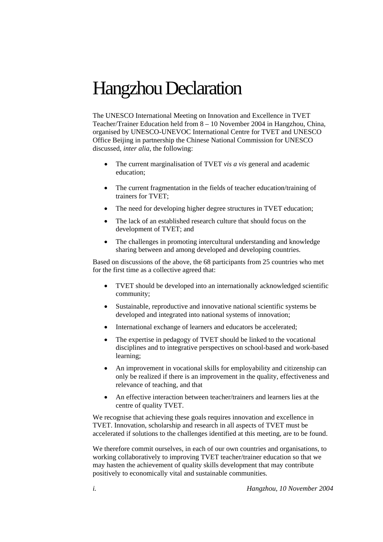# <span id="page-2-0"></span>Hangzhou Declaration

The UNESCO International Meeting on Innovation and Excellence in TVET Teacher/Trainer Education held from 8 – 10 November 2004 in Hangzhou, China, organised by UNESCO-UNEVOC International Centre for TVET and UNESCO Office Beijing in partnership the Chinese National Commission for UNESCO discussed, *inter alia*, the following:

- The current marginalisation of TVET *vis a vis* general and academic education;
- The current fragmentation in the fields of teacher education/training of trainers for TVET;
- The need for developing higher degree structures in TVET education;
- The lack of an established research culture that should focus on the development of TVET; and
- The challenges in promoting intercultural understanding and knowledge sharing between and among developed and developing countries.

Based on discussions of the above, the 68 participants from 25 countries who met for the first time as a collective agreed that:

- TVET should be developed into an internationally acknowledged scientific community;
- Sustainable, reproductive and innovative national scientific systems be developed and integrated into national systems of innovation;
- International exchange of learners and educators be accelerated;
- The expertise in pedagogy of TVET should be linked to the vocational disciplines and to integrative perspectives on school-based and work-based learning;
- An improvement in vocational skills for employability and citizenship can only be realized if there is an improvement in the quality, effectiveness and relevance of teaching, and that
- An effective interaction between teacher/trainers and learners lies at the centre of quality TVET.

We recognise that achieving these goals requires innovation and excellence in TVET. Innovation, scholarship and research in all aspects of TVET must be accelerated if solutions to the challenges identified at this meeting, are to be found.

We therefore commit ourselves, in each of our own countries and organisations, to working collaboratively to improving TVET teacher/trainer education so that we may hasten the achievement of quality skills development that may contribute positively to economically vital and sustainable communities*.*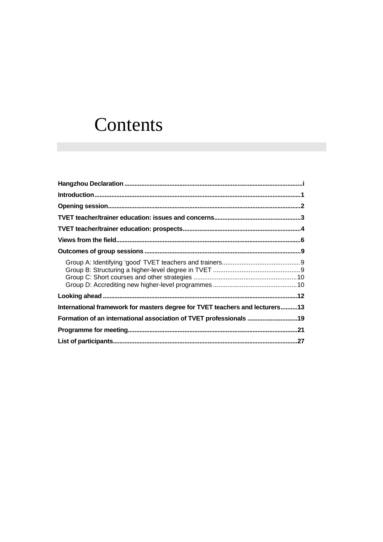# Contents

| International framework for masters degree for TVET teachers and lecturers13 |  |
|------------------------------------------------------------------------------|--|
|                                                                              |  |
|                                                                              |  |
|                                                                              |  |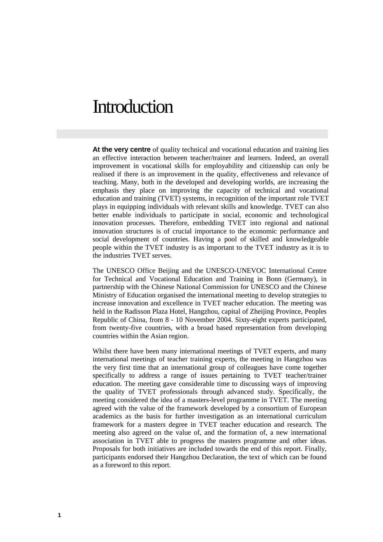# <span id="page-5-0"></span>**Introduction**

**At the very centre** of quality technical and vocational education and training lies an effective interaction between teacher/trainer and learners. Indeed, an overall improvement in vocational skills for employability and citizenship can only be realised if there is an improvement in the quality, effectiveness and relevance of teaching. Many, both in the developed and developing worlds, are increasing the emphasis they place on improving the capacity of technical and vocational education and training (TVET) systems, in recognition of the important role TVET plays in equipping individuals with relevant skills and knowledge. TVET can also better enable individuals to participate in social, economic and technological innovation processes. Therefore, embedding TVET into regional and national innovation structures is of crucial importance to the economic performance and social development of countries. Having a pool of skilled and knowledgeable people within the TVET industry is as important to the TVET industry as it is to the industries TVET serves.

The UNESCO Office Beijing and the UNESCO-UNEVOC International Centre for Technical and Vocational Education and Training in Bonn (Germany), in partnership with the Chinese National Commission for UNESCO and the Chinese Ministry of Education organised the international meeting to develop strategies to increase innovation and excellence in TVET teacher education. The meeting was held in the Radisson Plaza Hotel, Hangzhou, capital of Zheijing Province, Peoples Republic of China, from 8 - 10 November 2004. Sixty-eight experts participated, from twenty-five countries, with a broad based representation from developing countries within the Asian region.

Whilst there have been many international meetings of TVET experts, and many international meetings of teacher training experts, the meeting in Hangzhou was the very first time that an international group of colleagues have come together specifically to address a range of issues pertaining to TVET teacher/trainer education. The meeting gave considerable time to discussing ways of improving the quality of TVET professionals through advanced study. Specifically, the meeting considered the idea of a masters-level programme in TVET. The meeting agreed with the value of the framework developed by a consortium of European academics as the basis for further investigation as an international curriculum framework for a masters degree in TVET teacher education and research. The meeting also agreed on the value of, and the formation of, a new international association in TVET able to progress the masters programme and other ideas. Proposals for both initiatives are included towards the end of this report. Finally, participants endorsed their Hangzhou Declaration, the text of which can be found as a foreword to this report.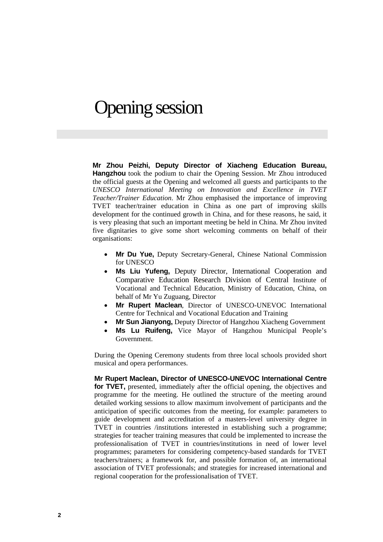# <span id="page-6-0"></span>Opening session

<sup>T</sup>**Mr Zhou Peizhi, Deputy Director of Xiacheng Education Bureau, Hangzhou** took the podium to chair the Opening Session. Mr Zhou introduced the official guests at the Opening and welcomed all guests and participants to the *UNESCO International Meeting on Innovation and Excellence in TVET Teacher/Trainer Education*. Mr Zhou emphasised the importance of improving TVET teacher/trainer education in China as one part of improving skills development for the continued growth in China, and for these reasons, he said, it is very pleasing that such an important meeting be held in China. Mr Zhou invited five dignitaries to give some short welcoming comments on behalf of their organisations:

- **Mr Du Yue, Deputy Secretary-General, Chinese National Commission** for UNESCO
- Ms Liu Yufeng, Deputy Director, International Cooperation and Comparative Education Research Division of Central Institute of Vocational and Technical Education, Ministry of Education, China, on behalf of Mr Yu Zuguang, Director
- **Mr Rupert Maclean, Director of UNESCO-UNEVOC International** Centre for Technical and Vocational Education and Training
- **Mr Sun Jianyong, Deputy Director of Hangzhou Xiacheng Government**
- Ms Lu Ruifeng, Vice Mayor of Hangzhou Municipal People's Government.

During the Opening Ceremony students from three local schools provided short musical and opera performances.

<sup>T</sup>**Mr Rupert Maclean, Director of UNESCO-UNEVOC International Centre for TVET**, presented, immediately after the official opening, the objectives and programme for the meeting. He outlined the structure of the meeting around detailed working sessions to allow maximum involvement of participants and the anticipation of specific outcomes from the meeting, for example: parameters to guide development and accreditation of a masters-level university degree in TVET in countries /institutions interested in establishing such a programme; strategies for teacher training measures that could be implemented to increase the professionalisation of TVET in countries/institutions in need of lower level programmes; parameters for considering competency-based standards for TVET teachers/trainers; a framework for, and possible formation of, an international association of TVET professionals; and strategies for increased international and regional cooperation for the professionalisation of TVET.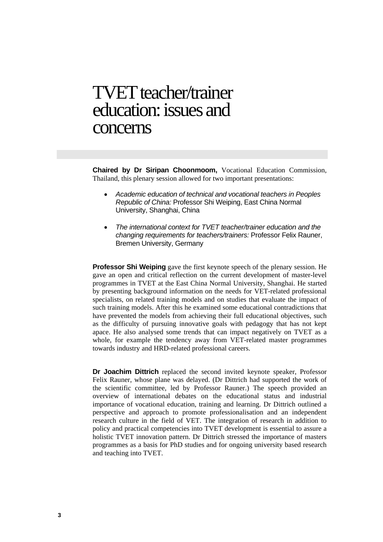# <span id="page-7-0"></span>TVET teacher/trainer education: issues and concerns

Chaired by Dr Siripan Choonmoom, Vocational Education Commission, Thailand, this plenary session allowed for two important presentations:

- *Academic education of technical and vocational teachers in Peoples Republic of China:* Professor Shi Weiping, East China Normal University, Shanghai, China
- *The international context for TVET teacher/trainer education and the changing requirements for teachers/trainers:* Professor Felix Rauner, Bremen University, Germany

**Professor Shi Weiping** gave the first keynote speech of the plenary session. He gave an open and critical reflection on the current development of master-level programmes in TVET at the East China Normal University, Shanghai. He started by presenting background information on the needs for VET-related professional specialists, on related training models and on studies that evaluate the impact of such training models. After this he examined some educational contradictions that have prevented the models from achieving their full educational objectives, such as the difficulty of pursuing innovative goals with pedagogy that has not kept apace. He also analysed some trends that can impact negatively on TVET as a whole, for example the tendency away from VET-related master programmes towards industry and HRD-related professional careers.

**Dr Joachim Dittrich** replaced the second invited keynote speaker, Professor Felix Rauner, whose plane was delayed. (Dr Dittrich had supported the work of the scientific committee, led by Professor Rauner.) The speech provided an overview of international debates on the educational status and industrial importance of vocational education, training and learning. Dr Dittrich outlined a perspective and approach to promote professionalisation and an independent research culture in the field of VET. The integration of research in addition to policy and practical competencies into TVET development is essential to assure a holistic TVET innovation pattern. Dr Dittrich stressed the importance of masters programmes as a basis for PhD studies and for ongoing university based research and teaching into TVET.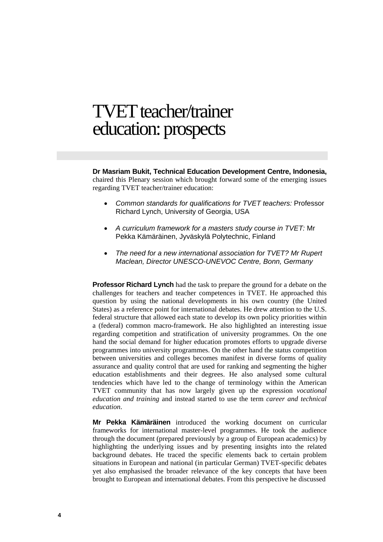# <span id="page-8-0"></span>TVET teacher/trainer education: prospects

<sup>T</sup>**Dr Masriam Bukit, Technical Education Development Centre, Indonesia,**  chaired this Plenary session which brought forward some of the emerging issues regarding TVET teacher/trainer education:

- *Common standards for qualifications for TVET teachers:* Professor Richard Lynch, University of Georgia, USA
- *A curriculum framework for a masters study course in TVET:* Mr Pekka Kämäräinen, Jyväskylä Polytechnic, Finland
- *The need for a new international association for TVET? Mr Rupert Maclean, Director UNESCO-UNEVOC Centre, Bonn, Germany*

**Professor Richard Lynch** had the task to prepare the ground for a debate on the challenges for teachers and teacher competences in TVET. He approached this question by using the national developments in his own country (the United States) as a reference point for international debates. He drew attention to the U.S. federal structure that allowed each state to develop its own policy priorities within a (federal) common macro-framework. He also highlighted an interesting issue regarding competition and stratification of university programmes. On the one hand the social demand for higher education promotes efforts to upgrade diverse programmes into university programmes. On the other hand the status competition between universities and colleges becomes manifest in diverse forms of quality assurance and quality control that are used for ranking and segmenting the higher education establishments and their degrees. He also analysed some cultural tendencies which have led to the change of terminology within the American TVET community that has now largely given up the expression *vocational education and training* and instead started to use the term *career and technical education*.

**Mr Pekka Kämäräinen** introduced the working document on curricular frameworks for international master-level programmes. He took the audience through the document (prepared previously by a group of European academics) by highlighting the underlying issues and by presenting insights into the related background debates. He traced the specific elements back to certain problem situations in European and national (in particular German) TVET-specific debates yet also emphasised the broader relevance of the key concepts that have been brought to European and international debates. From this perspective he discussed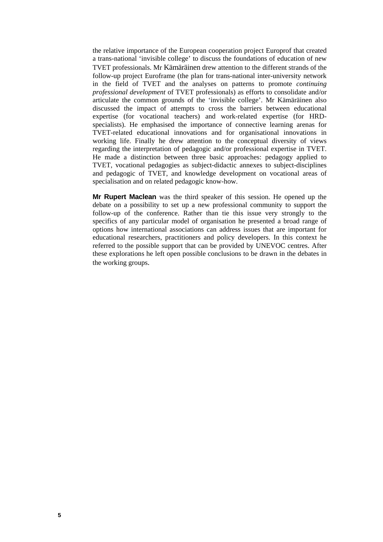the relative importance of the European cooperation project Europrof that created a trans-national 'invisible college' to discuss the foundations of education of new TVET professionals. Mr Kämäräinen drew attention to the different strands of the follow-up project Euroframe (the plan for trans-national inter-university network in the field of TVET and the analyses on patterns to promote *continuing professional development* of TVET professionals) as efforts to consolidate and/or articulate the common grounds of the 'invisible college'. Mr Kämäräinen also discussed the impact of attempts to cross the barriers between educational expertise (for vocational teachers) and work-related expertise (for HRDspecialists). He emphasised the importance of connective learning arenas for TVET-related educational innovations and for organisational innovations in working life. Finally he drew attention to the conceptual diversity of views regarding the interpretation of pedagogic and/or professional expertise in TVET. He made a distinction between three basic approaches: pedagogy applied to TVET, vocational pedagogies as subject-didactic annexes to subject-disciplines and pedagogic of TVET, and knowledge development on vocational areas of specialisation and on related pedagogic know-how.

**Mr Rupert Maclean** was the third speaker of this session. He opened up the debate on a possibility to set up a new professional community to support the follow-up of the conference. Rather than tie this issue very strongly to the specifics of any particular model of organisation he presented a broad range of options how international associations can address issues that are important for educational researchers, practitioners and policy developers. In this context he referred to the possible support that can be provided by UNEVOC centres. After these explorations he left open possible conclusions to be drawn in the debates in the working groups.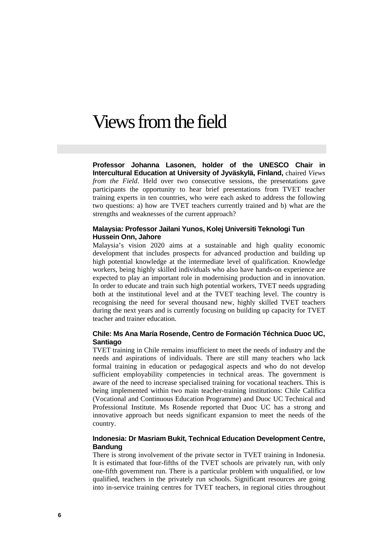# Views from the field

**Professor Johanna Lasonen, holder of the UNESCO Chair in Intercultural Education at University of Jyväskylä, Finland,** chaired *Views from the Field*. Held over two consecutive sessions, the presentations gave participants the opportunity to hear brief presentations from TVET teacher training experts in ten countries, who were each asked to address the following two questions: a) how are TVET teachers currently trained and b) what are the strengths and weaknesses of the current approach?

### **Malaysia: Professor Jailani Yunos, Kolej Universiti Teknologi Tun Hussein Onn, Jahore**

Malaysia's vision 2020 aims at a sustainable and high quality economic development that includes prospects for advanced production and building up high potential knowledge at the intermediate level of qualification. Knowledge workers, being highly skilled individuals who also have hands-on experience are expected to play an important role in modernising production and in innovation. In order to educate and train such high potential workers, TVET needs upgrading both at the institutional level and at the TVET teaching level. The country is recognising the need for several thousand new, highly skilled TVET teachers during the next years and is currently focusing on building up capacity for TVET teacher and trainer education.

## **Chile: Ms Ana María Rosende, Centro de Formación Téchnica Duoc UC, Santiago**

TVET training in Chile remains insufficient to meet the needs of industry and the needs and aspirations of individuals. There are still many teachers who lack formal training in education or pedagogical aspects and who do not develop sufficient employability competencies in technical areas. The government is aware of the need to increase specialised training for vocational teachers. This is being implemented within two main teacher-training institutions: Chile Califica (Vocational and Continuous Education Programme) and Duoc UC Technical and Professional Institute. Ms Rosende reported that Duoc UC has a strong and innovative approach but needs significant expansion to meet the needs of the country.

### **Indonesia: Dr Masriam Bukit, Technical Education Development Centre, Bandung**

There is strong involvement of the private sector in TVET training in Indonesia. It is estimated that four-fifths of the TVET schools are privately run, with only one-fifth government run. There is a particular problem with unqualified, or low qualified, teachers in the privately run schools. Significant resources are going into in-service training centres for TVET teachers, in regional cities throughout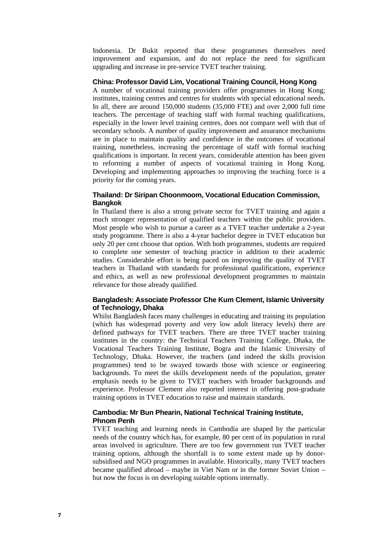Indonesia. Dr Bukit reported that these programmes themselves need improvement and expansion, and do not replace the need for significant upgrading and increase in pre-service TVET teacher training.

# **China: Professor David Lim, Vocational Training Council, Hong Kong**

A number of vocational training providers offer programmes in Hong Kong; institutes, training centres and centres for students with special educational needs. In all, there are around 150,000 students (35,000 FTE) and over 2,000 full time teachers. The percentage of teaching staff with formal teaching qualifications, especially in the lower level training centres, does not compare well with that of secondary schools. A number of quality improvement and assurance mechanisms are in place to maintain quality and confidence in the outcomes of vocational training, nonetheless, increasing the percentage of staff with formal teaching qualifications is important. In recent years, considerable attention has been given to reforming a number of aspects of vocational training in Hong Kong. Developing and implementing approaches to improving the teaching force is a priority for the coming years.

### **Thailand: Dr Siripan Choonmoom, Vocational Education Commission, Bangkok**

In Thailand there is also a strong private sector for TVET training and again a much stronger representation of qualified teachers within the public providers. Most people who wish to pursue a career as a TVET teacher undertake a 2-year study programme. There is also a 4-year bachelor degree in TVET education but only 20 per cent choose that option. With both programmes, students are required to complete one semester of teaching practice in addition to their academic studies. Considerable effort is being paced on improving the quality of TVET teachers in Thailand with standards for professional qualifications, experience and ethics, as well as new professional development programmes to maintain relevance for those already qualified.

# **Bangladesh: Associate Professor Che Kum Clement, Islamic University of Technology, Dhaka**

Whilst Bangladesh faces many challenges in educating and training its population (which has widespread poverty and very low adult literacy levels) there are defined pathways for TVET teachers. There are three TVET teacher training institutes in the country: the Technical Teachers Training College, Dhaka, the Vocational Teachers Training Institute, Bogra and the Islamic University of Technology, Dhaka. However, the teachers (and indeed the skills provision programmes) tend to be swayed towards those with science or engineering backgrounds. To meet the skills development needs of the population, greater emphasis needs to be given to TVET teachers with broader backgrounds and experience. Professor Clement also reported interest in offering post-graduate training options in TVET education to raise and maintain standards.

# **Cambodia: Mr Bun Phearin, National Technical Training Institute, Phnom Penh**

TVET teaching and learning needs in Cambodia are shaped by the particular needs of the country which has, for example, 80 per cent of its population in rural areas involved in agriculture. There are too few government run TVET teacher training options, although the shortfall is to some extent made up by donorsubsidised and NGO programmes in available. Historically, many TVET teachers became qualified abroad – maybe in Viet Nam or in the former Soviet Union – but now the focus is on developing suitable options internally.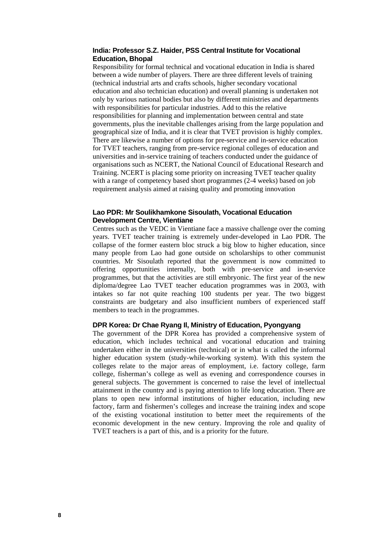### **India: Professor S.Z. Haider, PSS Central Institute for Vocational Education, Bhopal**

Responsibility for formal technical and vocational education in India is shared between a wide number of players. There are three different levels of training (technical industrial arts and crafts schools, higher secondary vocational education and also technician education) and overall planning is undertaken not only by various national bodies but also by different ministries and departments with responsibilities for particular industries. Add to this the relative responsibilities for planning and implementation between central and state governments, plus the inevitable challenges arising from the large population and geographical size of India, and it is clear that TVET provision is highly complex. There are likewise a number of options for pre-service and in-service education for TVET teachers, ranging from pre-service regional colleges of education and universities and in-service training of teachers conducted under the guidance of organisations such as NCERT, the National Council of Educational Research and Training. NCERT is placing some priority on increasing TVET teacher quality with a range of competency based short programmes (2-4 weeks) based on job requirement analysis aimed at raising quality and promoting innovation

#### **Lao PDR: Mr Soulikhamkone Sisoulath, Vocational Education Development Centre, Vientiane**

Centres such as the VEDC in Vientiane face a massive challenge over the coming years. TVET teacher training is extremely under-developed in Lao PDR. The collapse of the former eastern bloc struck a big blow to higher education, since many people from Lao had gone outside on scholarships to other communist countries. Mr Sisoulath reported that the government is now committed to offering opportunities internally, both with pre-service and in-service programmes, but that the activities are still embryonic. The first year of the new diploma/degree Lao TVET teacher education programmes was in 2003, with intakes so far not quite reaching 100 students per year. The two biggest constraints are budgetary and also insufficient numbers of experienced staff members to teach in the programmes.

### **DPR Korea: Dr Chae Ryang Il, Ministry of Education, Pyongyang**

The government of the DPR Korea has provided a comprehensive system of education, which includes technical and vocational education and training undertaken either in the universities (technical) or in what is called the informal higher education system (study-while-working system). With this system the colleges relate to the major areas of employment, i.e. factory college, farm college, fisherman's college as well as evening and correspondence courses in general subjects. The government is concerned to raise the level of intellectual attainment in the country and is paying attention to life long education. There are plans to open new informal institutions of higher education, including new factory, farm and fishermen's colleges and increase the training index and scope of the existing vocational institution to better meet the requirements of the economic development in the new century. Improving the role and quality of TVET teachers is a part of this, and is a priority for the future.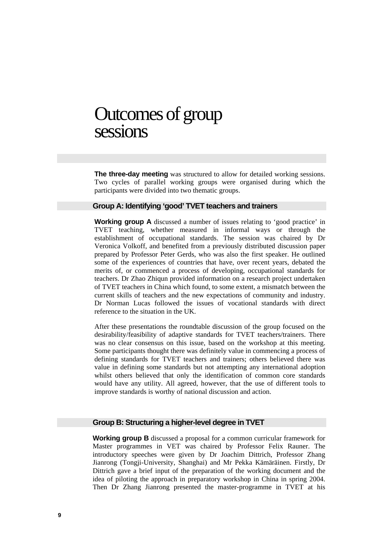# Outcomes of group sessions

**The three-day meeting** was structured to allow for detailed working sessions. Two cycles of parallel working groups were organised during which the participants were divided into two thematic groups.

#### **Group A: Identifying 'good' TVET teachers and trainers**

**Working group A** discussed a number of issues relating to 'good practice' in TVET teaching, whether measured in informal ways or through the establishment of occupational standards. The session was chaired by Dr Veronica Volkoff, and benefited from a previously distributed discussion paper prepared by Professor Peter Gerds, who was also the first speaker. He outlined some of the experiences of countries that have, over recent years, debated the merits of, or commenced a process of developing, occupational standards for teachers. Dr Zhao Zhiqun provided information on a research project undertaken of TVET teachers in China which found, to some extent, a mismatch between the current skills of teachers and the new expectations of community and industry. Dr Norman Lucas followed the issues of vocational standards with direct reference to the situation in the UK.

After these presentations the roundtable discussion of the group focused on the desirability/feasibility of adaptive standards for TVET teachers/trainers. There was no clear consensus on this issue, based on the workshop at this meeting. Some participants thought there was definitely value in commencing a process of defining standards for TVET teachers and trainers; others believed there was value in defining some standards but not attempting any international adoption whilst others believed that only the identification of common core standards would have any utility. All agreed, however, that the use of different tools to improve standards is worthy of national discussion and action.

#### **Group B: Structuring a higher-level degree in TVET**

**Working group B** discussed a proposal for a common curricular framework for Master programmes in VET was chaired by Professor Felix Rauner. The introductory speeches were given by Dr Joachim Dittrich, Professor Zhang Jianrong (Tongji-University, Shanghai) and Mr Pekka Kämäräinen. Firstly, Dr Dittrich gave a brief input of the preparation of the working document and the idea of piloting the approach in preparatory workshop in China in spring 2004. Then Dr Zhang Jianrong presented the master-programme in TVET at his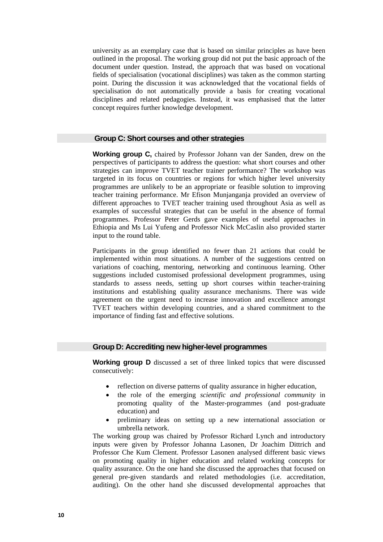university as an exemplary case that is based on similar principles as have been outlined in the proposal. The working group did not put the basic approach of the document under question. Instead, the approach that was based on vocational fields of specialisation (vocational disciplines) was taken as the common starting point. During the discussion it was acknowledged that the vocational fields of specialisation do not automatically provide a basis for creating vocational disciplines and related pedagogies. Instead, it was emphasised that the latter concept requires further knowledge development.

## **Group C: Short courses and other strategies**

**Working group C,** chaired by Professor Johann van der Sanden, drew on the perspectives of participants to address the question: what short courses and other strategies can improve TVET teacher trainer performance? The workshop was targeted in its focus on countries or regions for which higher level university programmes are unlikely to be an appropriate or feasible solution to improving teacher training performance. Mr Efison Munjanganja provided an overview of different approaches to TVET teacher training used throughout Asia as well as examples of successful strategies that can be useful in the absence of formal programmes. Professor Peter Gerds gave examples of useful approaches in Ethiopia and Ms Lui Yufeng and Professor Nick McCaslin also provided starter input to the round table.

Participants in the group identified no fewer than 21 actions that could be implemented within most situations. A number of the suggestions centred on variations of coaching, mentoring, networking and continuous learning. Other suggestions included customised professional development programmes, using standards to assess needs, setting up short courses within teacher-training institutions and establishing quality assurance mechanisms. There was wide agreement on the urgent need to increase innovation and excellence amongst TVET teachers within developing countries, and a shared commitment to the importance of finding fast and effective solutions.

#### **Group D: Accrediting new higher-level programmes**

**Working group D** discussed a set of three linked topics that were discussed consecutively:

- reflection on diverse patterns of quality assurance in higher education.
- the role of the emerging *scientific and professional community* in promoting quality of the Master-programmes (and post-graduate education) and
- preliminary ideas on setting up a new international association or umbrella network.

The working group was chaired by Professor Richard Lynch and introductory inputs were given by Professor Johanna Lasonen, Dr Joachim Dittrich and Professor Che Kum Clement. Professor Lasonen analysed different basic views on promoting quality in higher education and related working concepts for quality assurance. On the one hand she discussed the approaches that focused on general pre-given standards and related methodologies (i.e. accreditation, auditing). On the other hand she discussed developmental approaches that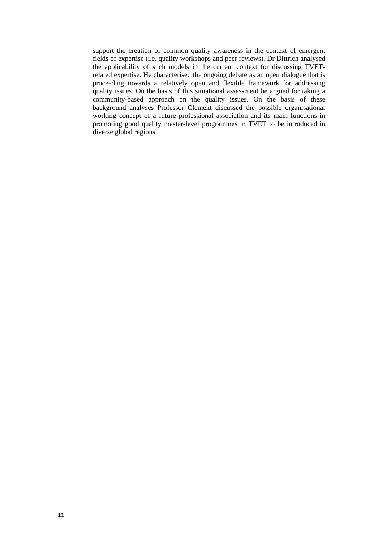support the creation of common quality awareness in the context of emergent fields of expertise (i.e. quality workshops and peer reviews). Dr Dittrich analysed the applicability of such models in the current context for discussing TVETrelated expertise. He characterised the ongoing debate as an open dialogue that is proceeding towards a relatively open and flexible framework for addressing quality issues. On the basis of this situational assessment he argued for taking a community-based approach on the quality issues. On the basis of these background analyses Professor Clement discussed the possible organisational working concept of a future professional association and its main functions in promoting good quality master-level programmes in TVET to be introduced in diverse global regions.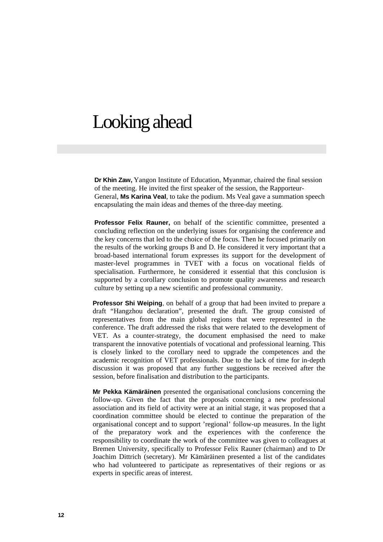# Looking ahead

**Dr Khin Zaw,** Yangon Institute of Education, Myanmar, chaired the final session of the meeting. He invited the first speaker of the session, the Rapporteur-General, **Ms Karina Veal**, to take the podium. Ms Veal gave a summation speech encapsulating the main ideas and themes of the three-day meeting.

**Professor Felix Rauner,** on behalf of the scientific committee, presented a concluding reflection on the underlying issues for organising the conference and the key concerns that led to the choice of the focus. Then he focused primarily on the results of the working groups B and D. He considered it very important that a broad-based international forum expresses its support for the development of master-level programmes in TVET with a focus on vocational fields of specialisation. Furthermore, he considered it essential that this conclusion is supported by a corollary conclusion to promote quality awareness and research culture by setting up a new scientific and professional community.

**Professor Shi Weiping**, on behalf of a group that had been invited to prepare a draft "Hangzhou declaration", presented the draft. The group consisted of representatives from the main global regions that were represented in the conference. The draft addressed the risks that were related to the development of VET. As a counter-strategy, the document emphasised the need to make transparent the innovative potentials of vocational and professional learning. This is closely linked to the corollary need to upgrade the competences and the academic recognition of VET professionals. Due to the lack of time for in-depth discussion it was proposed that any further suggestions be received after the session, before finalisation and distribution to the participants.

**Mr Pekka Kämäräinen** presented the organisational conclusions concerning the follow-up. Given the fact that the proposals concerning a new professional association and its field of activity were at an initial stage, it was proposed that a coordination committee should be elected to continue the preparation of the organisational concept and to support 'regional' follow-up measures. In the light of the preparatory work and the experiences with the conference the responsibility to coordinate the work of the committee was given to colleagues at Bremen University, specifically to Professor Felix Rauner (chairman) and to Dr Joachim Dittrich (secretary). Mr Kämäräinen presented a list of the candidates who had volunteered to participate as representatives of their regions or as experts in specific areas of interest.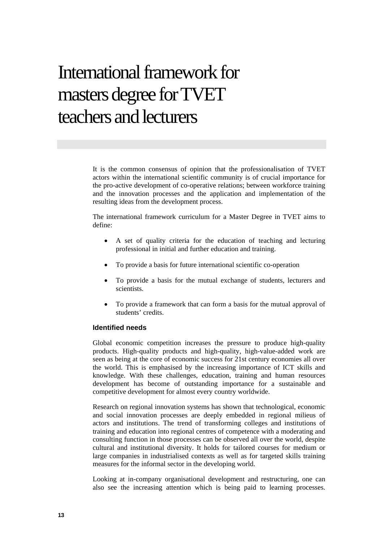# International framework for masters degree for TVET teachers and lecturers

It is the common consensus of opinion that the professionalisation of TVET actors within the international scientific community is of crucial importance for the pro-active development of co-operative relations; between workforce training and the innovation processes and the application and implementation of the resulting ideas from the development process.

The international framework curriculum for a Master Degree in TVET aims to define:

- A set of quality criteria for the education of teaching and lecturing professional in initial and further education and training.
- To provide a basis for future international scientific co-operation
- To provide a basis for the mutual exchange of students, lecturers and scientists.
- To provide a framework that can form a basis for the mutual approval of students' credits.

# **Identified needs**

Global economic competition increases the pressure to produce high-quality products. High-quality products and high-quality, high-value-added work are seen as being at the core of economic success for 21st century economies all over the world. This is emphasised by the increasing importance of ICT skills and knowledge. With these challenges, education, training and human resources development has become of outstanding importance for a sustainable and competitive development for almost every country worldwide.

Research on regional innovation systems has shown that technological, economic and social innovation processes are deeply embedded in regional milieus of actors and institutions. The trend of transforming colleges and institutions of training and education into regional centres of competence with a moderating and consulting function in those processes can be observed all over the world, despite cultural and institutional diversity. It holds for tailored courses for medium or large companies in industrialised contexts as well as for targeted skills training measures for the informal sector in the developing world.

Looking at in-company organisational development and restructuring, one can also see the increasing attention which is being paid to learning processes.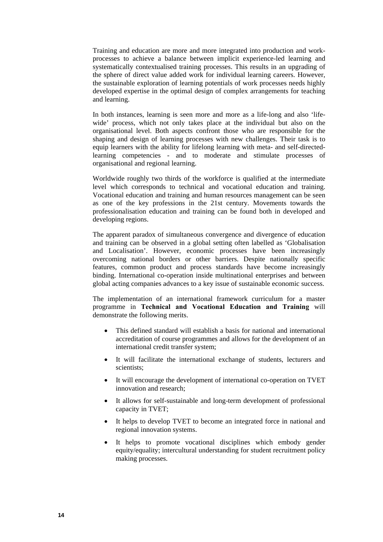Training and education are more and more integrated into production and workprocesses to achieve a balance between implicit experience-led learning and systematically contextualised training processes. This results in an upgrading of the sphere of direct value added work for individual learning careers. However, the sustainable exploration of learning potentials of work processes needs highly developed expertise in the optimal design of complex arrangements for teaching and learning.

In both instances, learning is seen more and more as a life-long and also 'lifewide' process, which not only takes place at the individual but also on the organisational level. Both aspects confront those who are responsible for the shaping and design of learning processes with new challenges. Their task is to equip learners with the ability for lifelong learning with meta- and self-directedlearning competencies - and to moderate and stimulate processes of organisational and regional learning.

Worldwide roughly two thirds of the workforce is qualified at the intermediate level which corresponds to technical and vocational education and training. Vocational education and training and human resources management can be seen as one of the key professions in the 21st century. Movements towards the professionalisation education and training can be found both in developed and developing regions.

The apparent paradox of simultaneous convergence and divergence of education and training can be observed in a global setting often labelled as 'Globalisation and Localisation'. However, economic processes have been increasingly overcoming national borders or other barriers. Despite nationally specific features, common product and process standards have become increasingly binding. International co-operation inside multinational enterprises and between global acting companies advances to a key issue of sustainable economic success.

The implementation of an international framework curriculum for a master programme in **Technical and Vocational Education and Training** will demonstrate the following merits.

- This defined standard will establish a basis for national and international accreditation of course programmes and allows for the development of an international credit transfer system;
- It will facilitate the international exchange of students, lecturers and scientists;
- It will encourage the development of international co-operation on TVET innovation and research;
- It allows for self-sustainable and long-term development of professional capacity in TVET;
- It helps to develop TVET to become an integrated force in national and regional innovation systems.
- It helps to promote vocational disciplines which embody gender equity/equality; intercultural understanding for student recruitment policy making processes.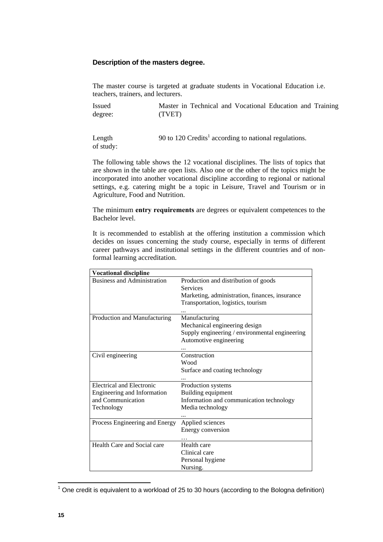# **Description of the masters degree.**

The master course is targeted at graduate students in Vocational Education i.e. teachers, trainers, and lecturers.

Issued degree: Master in Technical and Vocational Education and Training (TVET)

Length of study: 90 to [1](#page-19-0)20 Credits<sup>1</sup> according to national regulations.

The following table shows the 12 vocational disciplines. The lists of topics that are shown in the table are open lists. Also one or the other of the topics might be incorporated into another vocational discipline according to regional or national settings, e.g. catering might be a topic in Leisure, Travel and Tourism or in Agriculture, Food and Nutrition.

The minimum **entry requirements** are degrees or equivalent competences to the Bachelor level.

It is recommended to establish at the offering institution a commission which decides on issues concerning the study course, especially in terms of different career pathways and institutional settings in the different countries and of nonformal learning accreditation.

| <b>Vocational discipline</b>       |                                                |
|------------------------------------|------------------------------------------------|
| <b>Business and Administration</b> | Production and distribution of goods           |
|                                    | <b>Services</b>                                |
|                                    | Marketing, administration, finances, insurance |
|                                    | Transportation, logistics, tourism             |
|                                    |                                                |
| Production and Manufacturing       | Manufacturing                                  |
|                                    | Mechanical engineering design                  |
|                                    | Supply engineering / environmental engineering |
|                                    | Automotive engineering                         |
|                                    |                                                |
| Civil engineering                  | Construction                                   |
|                                    | Wood                                           |
|                                    | Surface and coating technology                 |
|                                    |                                                |
| <b>Electrical and Electronic</b>   | Production systems                             |
| Engineering and Information        | Building equipment                             |
| and Communication                  | Information and communication technology       |
|                                    |                                                |
| Technology                         | Media technology                               |
|                                    |                                                |
| Process Engineering and Energy     | Applied sciences                               |
|                                    | Energy conversion                              |
|                                    |                                                |
| Health Care and Social care        | Health care                                    |
|                                    | Clinical care                                  |
|                                    | Personal hygiene                               |
|                                    | Nursing.                                       |
|                                    |                                                |

<span id="page-19-0"></span>THE CONDITED SECT THE CONDET THE CONDET THE CONDUCT THE CONDET THE CONDET THE CONDET THE CONDET THE CONDET THE CON<br>The credit is equivalent to a workload of 25 to 30 hours (according to the Bologna definition)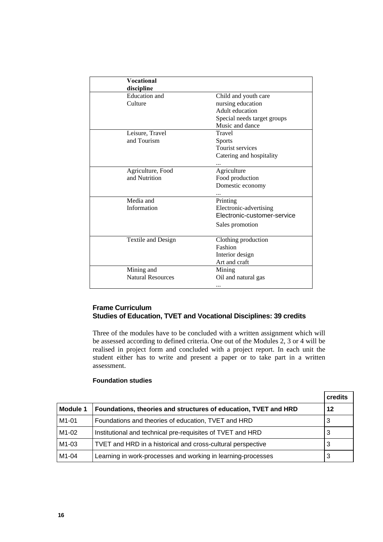| <b>Vocational</b>        |                             |
|--------------------------|-----------------------------|
| discipline               |                             |
| <b>Education</b> and     | Child and youth care        |
| Culture                  | nursing education           |
|                          | Adult education             |
|                          | Special needs target groups |
|                          | Music and dance             |
| Leisure, Travel          | Travel                      |
| and Tourism              | <b>Sports</b>               |
|                          | Tourist services            |
|                          | Catering and hospitality    |
|                          |                             |
| Agriculture, Food        | Agriculture                 |
| and Nutrition            | Food production             |
|                          | Domestic economy            |
|                          |                             |
| Media and                | Printing                    |
| Information              | Electronic-advertising      |
|                          | Electronic-customer-service |
|                          | Sales promotion             |
|                          |                             |
| Textile and Design       | Clothing production         |
|                          | Fashion                     |
|                          | Interior design             |
|                          | Art and craft               |
| Mining and               | Mining                      |
| <b>Natural Resources</b> | Oil and natural gas         |
|                          |                             |

# **Frame Curriculum Studies of Education, TVET and Vocational Disciplines: 39 credits**

Three of the modules have to be concluded with a written assignment which will be assessed according to defined criteria. One out of the Modules 2, 3 or 4 will be realised in project form and concluded with a project report. In each unit the student either has to write and present a paper or to take part in a written assessment.

#### **Foundation studies**

|                    |                                                                 | credits |
|--------------------|-----------------------------------------------------------------|---------|
| <b>Module 1</b>    | Foundations, theories and structures of education, TVET and HRD | 12      |
| M <sub>1</sub> -01 | Foundations and theories of education, TVET and HRD             | 3       |
| M1-02              | Institutional and technical pre-requisites of TVET and HRD      | 3       |
| M1-03              | TVET and HRD in a historical and cross-cultural perspective     | 3       |
| M1-04              | Learning in work-processes and working in learning-processes    | 3       |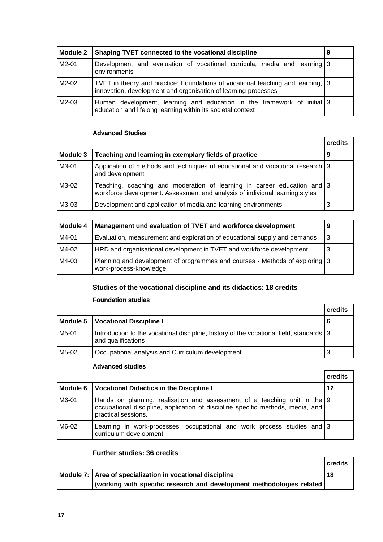| Module 2 | Shaping TVET connected to the vocational discipline                                                                                               | 9 |
|----------|---------------------------------------------------------------------------------------------------------------------------------------------------|---|
| $M2-01$  | Development and evaluation of vocational curricula, media and learning 3<br>environments                                                          |   |
| $M2-02$  | TVET in theory and practice: Foundations of vocational teaching and learning, 3<br>innovation, development and organisation of learning-processes |   |
| M2-03    | Human development, learning and education in the framework of initial 3<br>education and lifelong learning within its societal context            |   |

# **Advanced Studies**

|          |                                                                                                                                                         | credits |
|----------|---------------------------------------------------------------------------------------------------------------------------------------------------------|---------|
| Module 3 | Teaching and learning in exemplary fields of practice                                                                                                   |         |
| M3-01    | Application of methods and techniques of educational and vocational research 3<br>and development                                                       |         |
| M3-02    | Teaching, coaching and moderation of learning in career education and 3<br>workforce development. Assessment and analysis of individual learning styles |         |
| M3-03    | Development and application of media and learning environments                                                                                          | 3       |

| Module 4 | Management und evaluation of TVET and workforce development                                           |    |
|----------|-------------------------------------------------------------------------------------------------------|----|
| M4-01    | Evaluation, measurement and exploration of educational supply and demands                             | -3 |
| M4-02    | HRD and organisational development in TVET and workforce development                                  |    |
| M4-03    | Planning and development of programmes and courses - Methods of exploring 3<br>work-process-knowledge |    |

# **Studies of the vocational discipline and its didactics: 18 credits**

# **Foundation studies**

|          |                                                                                                               | credits |
|----------|---------------------------------------------------------------------------------------------------------------|---------|
| Module 5 | <b>Vocational Discipline I</b>                                                                                | 6       |
| M5-01    | Introduction to the vocational discipline, history of the vocational field, standards 3<br>and qualifications |         |
| M5-02    | Occupational analysis and Curriculum development                                                              | 3       |

# **Advanced studies**

|          |                                                                                                                                                                                     | credits |
|----------|-------------------------------------------------------------------------------------------------------------------------------------------------------------------------------------|---------|
| Module 6 | <b>Vocational Didactics in the Discipline I</b>                                                                                                                                     | 12      |
| M6-01    | Hands on planning, realisation and assessment of a teaching unit in the 9<br>occupational discipline, application of discipline specific methods, media, and<br>practical sessions. |         |
| M6-02    | Learning in work-processes, occupational and work process studies and 3<br>curriculum development                                                                                   |         |

# **Further studies: 36 credits**

| FUILIEI SLUULES. JO CIEUILS                                            |         |
|------------------------------------------------------------------------|---------|
|                                                                        | credits |
| Module 7: Area of specialization in vocational discipline              | 18      |
| (working with specific research and development methodologies related) |         |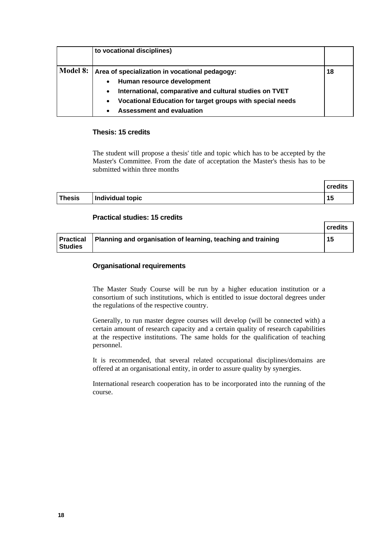|                 | to vocational disciplines)                                                                                                                                                                                                                                                      |    |
|-----------------|---------------------------------------------------------------------------------------------------------------------------------------------------------------------------------------------------------------------------------------------------------------------------------|----|
| <b>Model 8:</b> | Area of specialization in vocational pedagogy:<br>Human resource development<br>$\bullet$<br>International, comparative and cultural studies on TVET<br>$\bullet$<br>Vocational Education for target groups with special needs<br>$\bullet$<br><b>Assessment and evaluation</b> | 18 |

# **Thesis: 15 credits**

The student will propose a thesis' title and topic which has to be accepted by the Master's Committee. From the date of acceptation the Master's thesis has to be submitted within three months

|               |                  | credits |
|---------------|------------------|---------|
| <b>Thesis</b> | Individual topic | 15      |

# **Practical studies: 15 credits**

|                                    |                                                              | credits |
|------------------------------------|--------------------------------------------------------------|---------|
| <b>Practical</b><br><b>Studies</b> | Planning and organisation of learning, teaching and training | 15      |

# **Organisational requirements**

The Master Study Course will be run by a higher education institution or a consortium of such institutions, which is entitled to issue doctoral degrees under the regulations of the respective country.

Generally, to run master degree courses will develop (will be connected with) a certain amount of research capacity and a certain quality of research capabilities at the respective institutions. The same holds for the qualification of teaching personnel.

It is recommended, that several related occupational disciplines/domains are offered at an organisational entity, in order to assure quality by synergies.

International research cooperation has to be incorporated into the running of the course.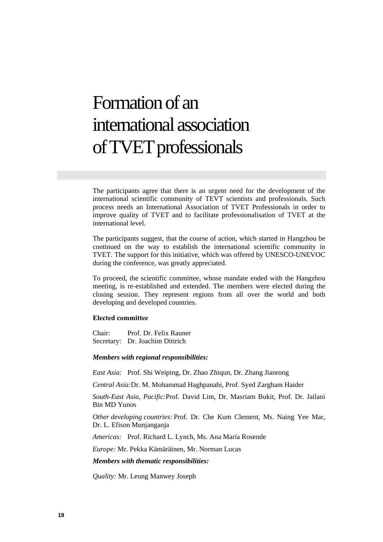# Formation of an international association of TVET professionals

The participants agree that there is an urgent need for the development of the international scientific community of TEVT scientists and professionals. Such process needs an International Association of TVET Professionals in order to improve quality of TVET and to facilitate professionalisation of TVET at the international level.

The participants suggest, that the course of action, which started in Hangzhou be continued on the way to establish the international scientific community in TVET. The support for this initiative, which was offered by UNESCO-UNEVOC during the conference, was greatly appreciated.

To proceed, the scientific committee, whose mandate ended with the Hangzhou meeting, is re-established and extended. The members were elected during the closing session. They represent regions from all over the world and both developing and developed countries.

#### **Elected committee**

Chair: Prof. Dr. Felix Rauner Secretary: Dr. Joachim Dittrich

#### *Members with regional responsibilities:*

*East Asia:* Prof. Shi Weiping, Dr. Zhao Zhiqun, Dr. Zhang Jianrong

*Central Asia:*Dr. M. Mohammad Haghpanahi, Prof. Syed Zargham Haider

*South-East Asia, Pacific:*Prof. David Lim, Dr. Masriam Bukit, Prof. Dr. Jailani Bin MD Yunos

*Other developing countries:* Prof. Dr. Che Kum Clement, Ms. Naing Yee Mar, Dr. L. Efison Munjanganja

*Americas:* Prof. Richard L. Lynch, Ms. Ana María Rosende

*Europe:* Mr. Pekka Kämäräinen, Mr. Norman Lucas

#### *Members with thematic responsibilities:*

*Quality:* Mr. Leung Manwey Joseph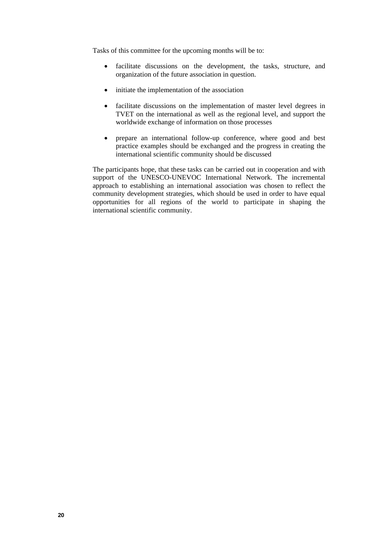Tasks of this committee for the upcoming months will be to:

- facilitate discussions on the development, the tasks, structure, and organization of the future association in question.
- initiate the implementation of the association
- facilitate discussions on the implementation of master level degrees in TVET on the international as well as the regional level, and support the worldwide exchange of information on those processes
- prepare an international follow-up conference, where good and best practice examples should be exchanged and the progress in creating the international scientific community should be discussed

The participants hope, that these tasks can be carried out in cooperation and with support of the UNESCO-UNEVOC International Network. The incremental approach to establishing an international association was chosen to reflect the community development strategies, which should be used in order to have equal opportunities for all regions of the world to participate in shaping the international scientific community.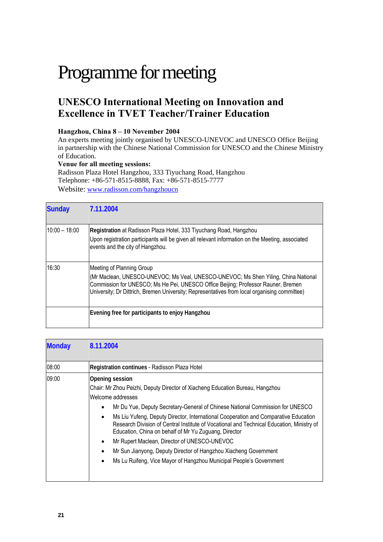# Programme for meeting

# **UNESCO International Meeting on Innovation and Excellence in TVET Teacher/Trainer Education**

# **Hangzhou, China 8 – 10 November 2004**

An experts meeting jointly organised by UNESCO-UNEVOC and UNESCO Office Beijing in partnership with the Chinese National Commission for UNESCO and the Chinese Ministry of Education.

### **Venue for all meeting sessions:**

Radisson Plaza Hotel Hangzhou, 333 Tiyuchang Road, Hangzhou Telephone: +86-571-8515-8888, Fax: +86-571-8515-7777 Website: www.radisson.com/hangzhoucn

| <b>Sunday</b> | 7.11.2004                                                                                                                                                                                                                                                                                            |
|---------------|------------------------------------------------------------------------------------------------------------------------------------------------------------------------------------------------------------------------------------------------------------------------------------------------------|
| 10:00 - 18:00 | Registration at Radisson Plaza Hotel, 333 Tiyuchang Road, Hangzhou<br>Upon registration participants will be given all relevant information on the Meeting, associated<br>events and the city of Hangzhou.                                                                                           |
| 16:30         | Meeting of Planning Group<br>(Mr Maclean, UNESCO-UNEVOC; Ms Veal, UNESCO-UNEVOC; Ms Shen Yiling, China National<br>Commission for UNESCO; Ms He Pei, UNESCO Office Beijing; Professor Rauner, Bremen<br>University; Dr Dittrich, Bremen University; Representatives from local organising committee) |
|               | Evening free for participants to enjoy Hangzhou                                                                                                                                                                                                                                                      |

| <b>Monday</b> | 8.11.2004                                                                                                                                                                                                                                                                                                                                                                                                                                                                                                                                                                                                                                                   |
|---------------|-------------------------------------------------------------------------------------------------------------------------------------------------------------------------------------------------------------------------------------------------------------------------------------------------------------------------------------------------------------------------------------------------------------------------------------------------------------------------------------------------------------------------------------------------------------------------------------------------------------------------------------------------------------|
| 08:00         | Registration continues - Radisson Plaza Hotel                                                                                                                                                                                                                                                                                                                                                                                                                                                                                                                                                                                                               |
| 09:00         | Opening session<br>Chair: Mr Zhou Peizhi, Deputy Director of Xiacheng Education Bureau, Hangzhou<br>Welcome addresses<br>Mr Du Yue, Deputy Secretary-General of Chinese National Commission for UNESCO<br>Ms Liu Yufeng, Deputy Director, International Cooperation and Comparative Education<br>$\bullet$<br>Research Division of Central Institute of Vocational and Technical Education, Ministry of<br>Education, China on behalf of Mr Yu Zuguang, Director<br>Mr Rupert Maclean, Director of UNESCO-UNEVOC<br>Mr Sun Jianyong, Deputy Director of Hangzhou Xiacheng Government<br>Ms Lu Ruifeng, Vice Mayor of Hangzhou Municipal People's Government |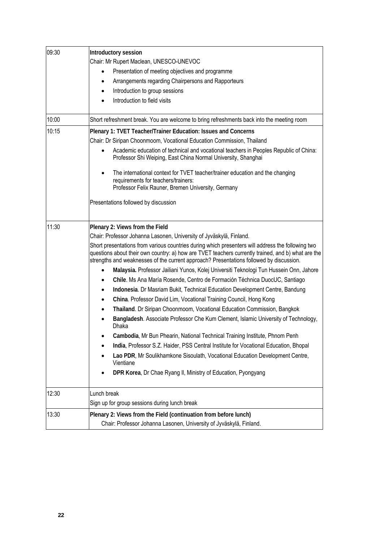| 09:30 | Introductory session                                                                                                                                                                                                                                                                               |
|-------|----------------------------------------------------------------------------------------------------------------------------------------------------------------------------------------------------------------------------------------------------------------------------------------------------|
|       | Chair: Mr Rupert Maclean, UNESCO-UNEVOC                                                                                                                                                                                                                                                            |
|       | Presentation of meeting objectives and programme<br>$\bullet$                                                                                                                                                                                                                                      |
|       | Arrangements regarding Chairpersons and Rapporteurs<br>$\bullet$                                                                                                                                                                                                                                   |
|       | Introduction to group sessions<br>$\bullet$                                                                                                                                                                                                                                                        |
|       | Introduction to field visits                                                                                                                                                                                                                                                                       |
| 10:00 | Short refreshment break. You are welcome to bring refreshments back into the meeting room                                                                                                                                                                                                          |
| 10:15 | Plenary 1: TVET Teacher/Trainer Education: Issues and Concerns                                                                                                                                                                                                                                     |
|       | Chair: Dr Siripan Choonmoom, Vocational Education Commission, Thailand                                                                                                                                                                                                                             |
|       | Academic education of technical and vocational teachers in Peoples Republic of China:                                                                                                                                                                                                              |
|       | Professor Shi Weiping, East China Normal University, Shanghai                                                                                                                                                                                                                                      |
|       | The international context for TVET teacher/trainer education and the changing<br>requirements for teachers/trainers:                                                                                                                                                                               |
|       | Professor Felix Rauner, Bremen University, Germany                                                                                                                                                                                                                                                 |
|       | Presentations followed by discussion                                                                                                                                                                                                                                                               |
| 11:30 | Plenary 2: Views from the Field                                                                                                                                                                                                                                                                    |
|       | Chair: Professor Johanna Lasonen, University of Jyväskylä, Finland.                                                                                                                                                                                                                                |
|       | Short presentations from various countries during which presenters will address the following two<br>questions about their own country: a) how are TVET teachers currently trained, and b) what are the<br>strengths and weaknesses of the current approach? Presentations followed by discussion. |
|       | Malaysia. Professor Jailiani Yunos, Kolej Universiti Teknologi Tun Hussein Onn, Jahore                                                                                                                                                                                                             |
|       | Chile. Ms Ana María Rosende, Centro de Formación Téchnica DuocUC, Santiago                                                                                                                                                                                                                         |
|       | Indonesia. Dr Masriam Bukit, Technical Education Development Centre, Bandung                                                                                                                                                                                                                       |
|       | China. Professor David Lim, Vocational Training Council, Hong Kong                                                                                                                                                                                                                                 |
|       | Thailand. Dr Siripan Choonmoom, Vocational Education Commission, Bangkok                                                                                                                                                                                                                           |
|       | Bangladesh. Associate Professor Che Kum Clement, Islamic University of Technology,<br>Dhaka                                                                                                                                                                                                        |
|       | Cambodia, Mr Bun Phearin, National Technical Training Institute, Phnom Penh                                                                                                                                                                                                                        |
|       | India, Professor S.Z. Haider, PSS Central Institute for Vocational Education, Bhopal                                                                                                                                                                                                               |
|       | Lao PDR, Mr Soulikhamkone Sisoulath, Vocational Education Development Centre,<br>Vientiane                                                                                                                                                                                                         |
|       | DPR Korea, Dr Chae Ryang II, Ministry of Education, Pyongyang                                                                                                                                                                                                                                      |
| 12:30 | Lunch break                                                                                                                                                                                                                                                                                        |
|       | Sign up for group sessions during lunch break                                                                                                                                                                                                                                                      |
| 13:30 | Plenary 2: Views from the Field (continuation from before lunch)                                                                                                                                                                                                                                   |
|       | Chair: Professor Johanna Lasonen, University of Jyväskylä, Finland.                                                                                                                                                                                                                                |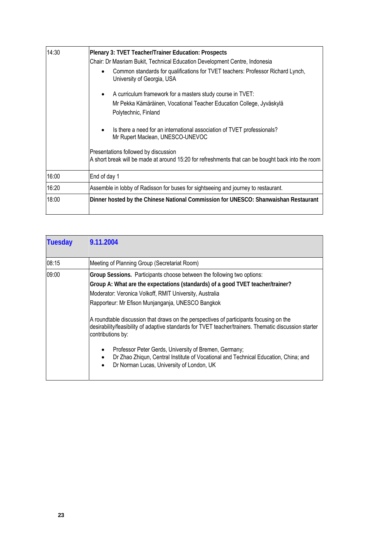| 14:30 | Plenary 3: TVET Teacher/Trainer Education: Prospects                                                                                      |  |  |
|-------|-------------------------------------------------------------------------------------------------------------------------------------------|--|--|
|       | Chair: Dr Masriam Bukit, Technical Education Development Centre, Indonesia                                                                |  |  |
|       | Common standards for qualifications for TVET teachers: Professor Richard Lynch,<br>University of Georgia, USA                             |  |  |
|       | A curriculum framework for a masters study course in TVET:<br>٠                                                                           |  |  |
|       | Mr Pekka Kämäräinen, Vocational Teacher Education College, Jyväskylä                                                                      |  |  |
|       | Polytechnic, Finland                                                                                                                      |  |  |
|       | Is there a need for an international association of TVET professionals?<br>$\bullet$<br>Mr Rupert Maclean, UNESCO-UNEVOC                  |  |  |
|       | Presentations followed by discussion<br>A short break will be made at around 15:20 for refreshments that can be bought back into the room |  |  |
| 16:00 | End of day 1                                                                                                                              |  |  |
| 16:20 | Assemble in lobby of Radisson for buses for sightseeing and journey to restaurant.                                                        |  |  |
| 18:00 | Dinner hosted by the Chinese National Commission for UNESCO: Shanwaishan Restaurant                                                       |  |  |

| <b>Tuesday</b> | 9.11.2004                                                                                                                                                                                                                                                                                                                                                                                                                                                                                                                                                                                                                                                                                                                            |
|----------------|--------------------------------------------------------------------------------------------------------------------------------------------------------------------------------------------------------------------------------------------------------------------------------------------------------------------------------------------------------------------------------------------------------------------------------------------------------------------------------------------------------------------------------------------------------------------------------------------------------------------------------------------------------------------------------------------------------------------------------------|
| 08:15          | Meeting of Planning Group (Secretariat Room)                                                                                                                                                                                                                                                                                                                                                                                                                                                                                                                                                                                                                                                                                         |
| 09:00          | Group Sessions. Participants choose between the following two options:<br>Group A: What are the expectations (standards) of a good TVET teacher/trainer?<br>Moderator: Veronica Volkoff, RMIT University, Australia<br>Rapporteur: Mr Efison Munjanganja, UNESCO Bangkok<br>A roundtable discussion that draws on the perspectives of participants focusing on the<br>desirability/feasibility of adaptive standards for TVET teacher/trainers. Thematic discussion starter<br>contributions by:<br>Professor Peter Gerds, University of Bremen, Germany;<br>$\bullet$<br>Dr Zhao Zhigun, Central Institute of Vocational and Technical Education, China; and<br>$\bullet$<br>Dr Norman Lucas, University of London, UK<br>$\bullet$ |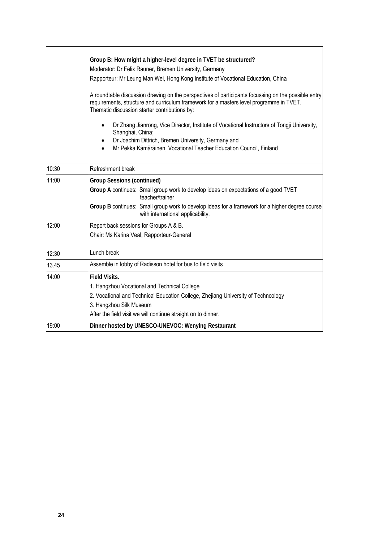|       | Group B: How might a higher-level degree in TVET be structured?<br>Moderator: Dr Felix Rauner, Bremen University, Germany<br>Rapporteur: Mr Leung Man Wei, Hong Kong Institute of Vocational Education, China<br>A roundtable discussion drawing on the perspectives of participants focussing on the possible entry<br>requirements, structure and curriculum framework for a masters level programme in TVET.<br>Thematic discussion starter contributions by:<br>Dr Zhang Jianrong, Vice Director, Institute of Vocational Instructors of Tongji University,<br>Shanghai, China;<br>Dr Joachim Dittrich, Bremen University, Germany and<br>٠<br>Mr Pekka Kämäräinen, Vocational Teacher Education Council, Finland<br>$\bullet$ |
|-------|------------------------------------------------------------------------------------------------------------------------------------------------------------------------------------------------------------------------------------------------------------------------------------------------------------------------------------------------------------------------------------------------------------------------------------------------------------------------------------------------------------------------------------------------------------------------------------------------------------------------------------------------------------------------------------------------------------------------------------|
| 10:30 | Refreshment break                                                                                                                                                                                                                                                                                                                                                                                                                                                                                                                                                                                                                                                                                                                  |
| 11:00 | <b>Group Sessions (continued)</b><br>Group A continues: Small group work to develop ideas on expectations of a good TVET<br>teacher/trainer<br>Group B continues: Small group work to develop ideas for a framework for a higher degree course<br>with international applicability.                                                                                                                                                                                                                                                                                                                                                                                                                                                |
| 12:00 | Report back sessions for Groups A & B.<br>Chair: Ms Karina Veal, Rapporteur-General                                                                                                                                                                                                                                                                                                                                                                                                                                                                                                                                                                                                                                                |
| 12:30 | Lunch break                                                                                                                                                                                                                                                                                                                                                                                                                                                                                                                                                                                                                                                                                                                        |
| 13.45 | Assemble in lobby of Radisson hotel for bus to field visits                                                                                                                                                                                                                                                                                                                                                                                                                                                                                                                                                                                                                                                                        |
| 14:00 | <b>Field Visits.</b><br>1. Hangzhou Vocational and Technical College<br>2. Vocational and Technical Education College, Zhejiang University of Techncology<br>3. Hangzhou Silk Museum<br>After the field visit we will continue straight on to dinner.                                                                                                                                                                                                                                                                                                                                                                                                                                                                              |
| 19:00 | Dinner hosted by UNESCO-UNEVOC: Wenying Restaurant                                                                                                                                                                                                                                                                                                                                                                                                                                                                                                                                                                                                                                                                                 |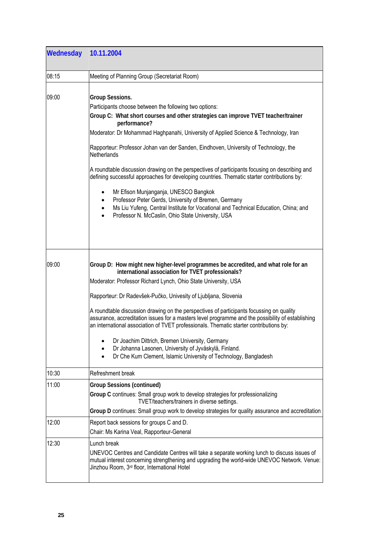| Wednesday 10.11.2004 |                                                                                                                                                                                                                                                                                                                                                                                                                                                                                                                                                                                                                                                                                                                                                         |
|----------------------|---------------------------------------------------------------------------------------------------------------------------------------------------------------------------------------------------------------------------------------------------------------------------------------------------------------------------------------------------------------------------------------------------------------------------------------------------------------------------------------------------------------------------------------------------------------------------------------------------------------------------------------------------------------------------------------------------------------------------------------------------------|
| 08:15                | Meeting of Planning Group (Secretariat Room)                                                                                                                                                                                                                                                                                                                                                                                                                                                                                                                                                                                                                                                                                                            |
| 09:00                | Group Sessions.<br>Participants choose between the following two options:<br>Group C: What short courses and other strategies can improve TVET teacher/trainer<br>performance?<br>Moderator: Dr Mohammad Haghpanahi, University of Applied Science & Technology, Iran<br>Rapporteur: Professor Johan van der Sanden, Eindhoven, University of Technology, the<br><b>Netherlands</b>                                                                                                                                                                                                                                                                                                                                                                     |
|                      | A roundtable discussion drawing on the perspectives of participants focusing on describing and<br>defining successful approaches for developing countries. Thematic starter contributions by:<br>Mr Efison Munjanganja, UNESCO Bangkok<br>٠<br>Professor Peter Gerds, University of Bremen, Germany<br>$\bullet$<br>Ms Liu Yufeng, Central Institute for Vocational and Technical Education, China; and<br>$\bullet$<br>Professor N. McCaslin, Ohio State University, USA                                                                                                                                                                                                                                                                               |
| 09:00                | Group D: How might new higher-level programmes be accredited, and what role for an<br>international association for TVET professionals?<br>Moderator: Professor Richard Lynch, Ohio State University, USA<br>Rapporteur: Dr Radevšek-Pučko, Univesity of Ljubljana, Slovenia<br>A roundtable discussion drawing on the perspectives of participants focussing on quality<br>assurance, accreditation issues for a masters level programme and the possibility of establishing<br>an international association of TVET professionals. Thematic starter contributions by:<br>Dr Joachim Dittrich, Bremen University, Germany<br>Dr Johanna Lasonen, University of Jyväskylä, Finland.<br>Dr Che Kum Clement, Islamic University of Technology, Bangladesh |
| 10:30                | Refreshment break                                                                                                                                                                                                                                                                                                                                                                                                                                                                                                                                                                                                                                                                                                                                       |
| 11:00                | <b>Group Sessions (continued)</b><br>Group C continues: Small group work to develop strategies for professionalizing<br>TVET/teachers/trainers in diverse settings.<br>Group D continues: Small group work to develop strategies for quality assurance and accreditation                                                                                                                                                                                                                                                                                                                                                                                                                                                                                |
| 12:00                | Report back sessions for groups C and D.<br>Chair: Ms Karina Veal, Rapporteur-General                                                                                                                                                                                                                                                                                                                                                                                                                                                                                                                                                                                                                                                                   |
| 12:30                | Lunch break<br>UNEVOC Centres and Candidate Centres will take a separate working lunch to discuss issues of<br>mutual interest concerning strengthening and upgrading the world-wide UNEVOC Network. Venue:<br>Jinzhou Room, 3 <sup>rd</sup> floor, International Hotel                                                                                                                                                                                                                                                                                                                                                                                                                                                                                 |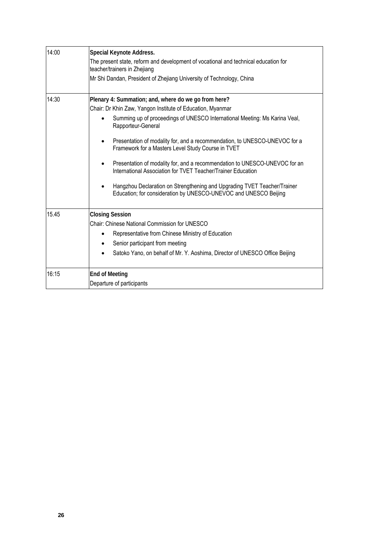| 14:00 | Special Keynote Address.                                                                                                                     |
|-------|----------------------------------------------------------------------------------------------------------------------------------------------|
|       | The present state, reform and development of vocational and technical education for<br>teacher/trainers in Zhejiang                          |
|       | Mr Shi Dandan, President of Zhejiang University of Technology, China                                                                         |
| 14:30 | Plenary 4: Summation; and, where do we go from here?                                                                                         |
|       | Chair: Dr Khin Zaw, Yangon Institute of Education, Myanmar                                                                                   |
|       | Summing up of proceedings of UNESCO International Meeting: Ms Karina Veal,<br>Rapporteur-General                                             |
|       | Presentation of modality for, and a recommendation, to UNESCO-UNEVOC for a<br>Framework for a Masters Level Study Course in TVET             |
|       | Presentation of modality for, and a recommendation to UNESCO-UNEVOC for an<br>International Association for TVET Teacher/Trainer Education   |
|       | Hangzhou Declaration on Strengthening and Upgrading TVET Teacher/Trainer<br>Education; for consideration by UNESCO-UNEVOC and UNESCO Beijing |
| 15.45 | <b>Closing Session</b>                                                                                                                       |
|       | Chair: Chinese National Commission for UNESCO                                                                                                |
|       | Representative from Chinese Ministry of Education                                                                                            |
|       | Senior participant from meeting                                                                                                              |
|       | Satoko Yano, on behalf of Mr. Y. Aoshima, Director of UNESCO Office Beijing                                                                  |
| 16:15 | <b>End of Meeting</b>                                                                                                                        |
|       | Departure of participants                                                                                                                    |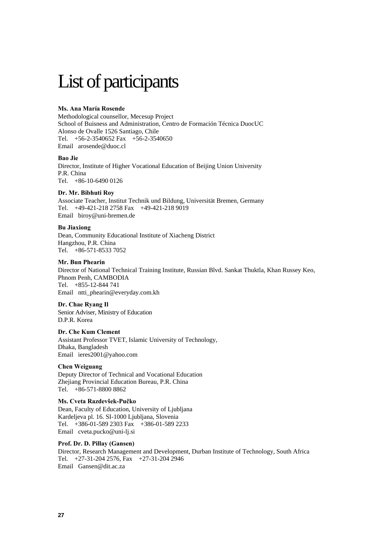# List of participants

#### **Ms. Ana María Rosende**

Methodological counsellor, Mecesup Project School of Buisness and Administration, Centro de Formación Técnica DuocUC Alonso de Ovalle 1526 Santiago, Chile Tel. +56-2-3540652 Fax +56-2-3540650 Email arosende@duoc.cl

#### **Bao Jie**

Director, Institute of Higher Vocational Education of Beijing Union University P.R. China Tel. +86-10-6490 0126

#### **Dr. Mr. Bibhuti Roy**

Associate Teacher, Institut Technik und Bildung, Universität Bremen, Germany Tel. +49-421-218 2758 Fax +49-421-218 9019 Email biroy@uni-bremen.de

#### **Bu Jiaxiong**

Dean, Community Educational Institute of Xiacheng District Hangzhou, P.R. China Tel. +86-571-8533 7052

#### **Mr. Bun Phearin**

Director of National Technical Training Institute, Russian Blvd. Sankat Thuktla, Khan Russey Keo, Phnom Penh, CAMBODIA Tel. +855-12-844 741 Email ntti\_phearin@everyday.com.kh

**Dr. Chae Ryang Il**  Senior Adviser, Ministry of Education D.P.R. Korea

**Dr. Che Kum Clement**  Assistant Professor TVET, Islamic University of Technology, Dhaka, Bangladesh Email ieres2001@yahoo.com

#### **Chen Weiguang**

Deputy Director of Technical and Vocational Education Zhejiang Provincial Education Bureau, P.R. China Tel. +86-571-8800 8862

#### **Ms. Cveta Razdevšek-Pučko**

Dean, Faculty of Education, University of Ljubljana Kardeljeva pl. 16. SI-1000 Ljubljana, Slovenia Tel. +386-01-589 2303 Fax +386-01-589 2233 Email cveta.pucko@uni-lj.si

#### **Prof. Dr. D. Pillay (Gansen)**

Director, Research Management and Development, Durban Institute of Technology, South Africa Tel. +27-31-204 2576, Fax +27-31-204 2946 Email Gansen@dit.ac.za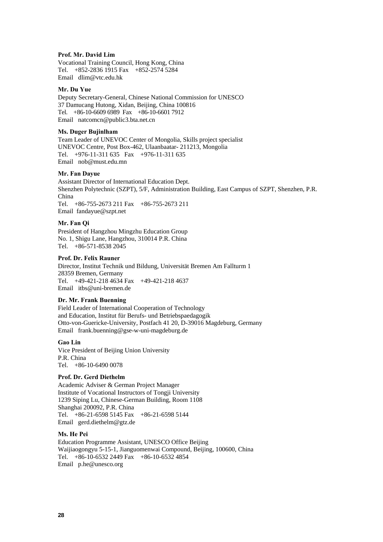#### **Prof. Mr. David Lim**

Vocational Training Council, Hong Kong, China Tel. +852-2836 1915 Fax +852-2574 5284 Email dlim@vtc.edu.hk

#### **Mr. Du Yue**

Deputy Secretary-General, Chinese National Commission for UNESCO 37 Damucang Hutong, Xidan, Beijing, China 100816 Tel. +86-10-6609 6989 Fax +86-10-6601 7912 Email natcomcn@public3.bta.net.cn

#### **Ms. Duger Bujinlham**

Team Leader of UNEVOC Center of Mongolia, Skills project specialist UNEVOC Centre, Post Box-462, Ulaanbaatar- 211213, Mongolia Tel. +976-11-311 635 Fax +976-11-311 635 Email nob@must.edu.mn

#### **Mr. Fan Dayue**

Assistant Director of International Education Dept. Shenzhen Polytechnic (SZPT), 5/F, Administration Building, East Campus of SZPT, Shenzhen, P.R. China Tel. +86-755-2673 211 Fax +86-755-2673 211 Email fandayue@szpt.net

#### **Mr. Fan Qi**

President of Hangzhou Mingzhu Education Group No. 1, Shigu Lane, Hangzhou, 310014 P.R. China Tel. +86-571-8538 2045

#### **Prof. Dr. Felix Rauner**

Director, Institut Technik und Bildung, Universität Bremen Am Fallturm 1 28359 Bremen, Germany Tel. +49-421-218 4634 Fax +49-421-218 4637 Email itbs@uni-bremen.de

#### **Dr. Mr. Frank Buenning**

Field Leader of International Cooperation of Technology and Education, Institut für Berufs- und Betriebspaedagogik Otto-von-Guericke-University, Postfach 41 20, D-39016 Magdeburg, Germany Email frank.buenning@gse-w-uni-magdeburg.de

#### **Gao Lin**

Vice President of Beijing Union University P.R. China Tel. +86-10-6490 0078

#### **Prof. Dr. Gerd Diethelm**

Academic Adviser & German Project Manager Institute of Vocational Instructors of Tongji University 1239 Siping Lu, Chinese-German Building, Room 1108 Shanghai 200092, P.R. China Tel. +86-21-6598 5145 Fax +86-21-6598 5144 Email gerd.diethelm@gtz.de

#### **Ms. He Pei**

Education Programme Assistant, UNESCO Office Beijing Waijiaogongyu 5-15-1, Jianguomenwai Compound, Beijing, 100600, China Tel. +86-10-6532 2449 Fax +86-10-6532 4854 Email p.he@unesco.org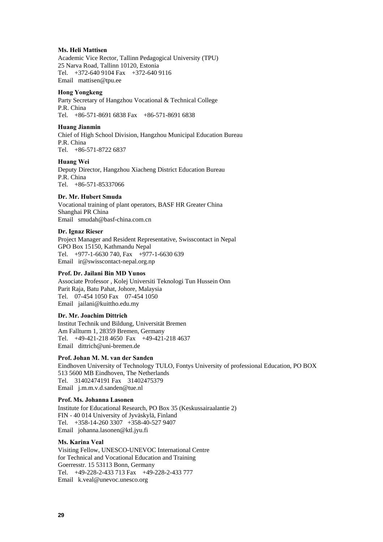#### **Ms. Heli Mattisen**

Academic Vice Rector, Tallinn Pedagogical University (TPU) 25 Narva Road, Tallinn 10120, Estonia Tel. +372-640 9104 Fax +372-640 9116 Email mattisen@tpu.ee

#### **Hong Yongkeng**

Party Secretary of Hangzhou Vocational & Technical College P.R. China Tel. +86-571-8691 6838 Fax +86-571-8691 6838

#### **Huang Jianmin**

Chief of High School Division, Hangzhou Municipal Education Bureau P.R. China Tel. +86-571-8722 6837

#### **Huang Wei**

Deputy Director, Hangzhou Xiacheng District Education Bureau P.R. China Tel. +86-571-85337066

#### **Dr. Mr. Hubert Smuda**

Vocational training of plant operators, BASF HR Greater China Shanghai PR China Email smudah@basf-china.com.cn

#### **Dr. Ignaz Rieser**

Project Manager and Resident Representative, Swisscontact in Nepal GPO Box 15150, Kathmandu Nepal Tel. +977-1-6630 740, Fax +977-1-6630 639 Email ir@swisscontact-nepal.org.np

#### **Prof. Dr. Jailani Bin MD Yunos**

Associate Professor , Kolej Universiti Teknologi Tun Hussein Onn Parit Raja, Batu Pahat, Johore, Malaysia Tel. 07-454 1050 Fax 07-454 1050 Email jailani@kuittho.edu.my

#### **Dr. Mr. Joachim Dittrich**

Institut Technik und Bildung, Universität Bremen Am Fallturm 1, 28359 Bremen, Germany Tel. +49-421-218 4650 Fax +49-421-218 4637 Email dittrich@uni-bremen.de

#### **Prof. Johan M. M. van der Sanden**

Eindhoven University of Technology TULO, Fontys University of professional Education, PO BOX 513 5600 MB Eindhoven, The Netherlands Tel. 31402474191 Fax 31402475379 Email j.m.m.v.d.sanden@tue.nl

#### **Prof. Ms. Johanna Lasonen**

Institute for Educational Research, PO Box 35 (Keskussairaalantie 2) FIN - 40 014 University of Jyväskylä, Finland Tel. +358-14-260 3307 +358-40-527 9407 Email johanna.lasonen@ktl.jyu.fi

#### **Ms. Karina Veal**

Visiting Fellow, UNESCO-UNEVOC International Centre for Technical and Vocational Education and Training Goerresstr. 15 53113 Bonn, Germany Tel. +49-228-2-433 713 Fax +49-228-2-433 777 Email k.veal@unevoc.unesco.org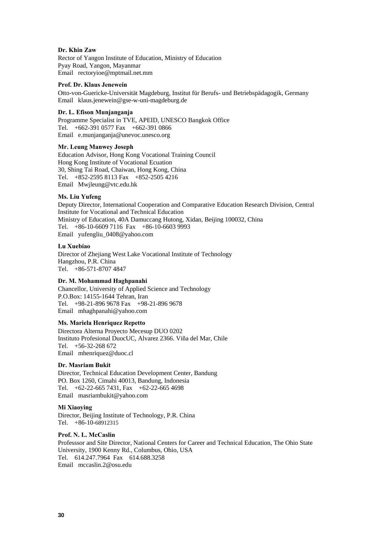#### **Dr. Khin Zaw**

Rector of Yangon Institute of Education, Ministry of Education Pyay Road, Yangon, Mayanmar Email rectoryioe@mptmail.net.mm

#### **Prof. Dr. Klaus Jenewein**

Otto-von-Guericke-Universität Magdeburg, Institut für Berufs- und Betriebspädagogik, Germany Email klaus.jenewein@gse-w-uni-magdeburg.de

#### **Dr. L. Efison Munjanganja**

Programme Specialist in TVE, APEID, UNESCO Bangkok Office Tel. +662-391 0577 Fax +662-391 0866 Email e.munjanganja@unevoc.unesco.org

#### **Mr. Leung Manwey Joseph**

Education Advisor, Hong Kong Vocational Training Council Hong Kong Institute of Vocational Ecuation 30, Shing Tai Road, Chaiwan, Hong Kong, China Tel. +852-2595 8113 Fax +852-2505 4216 Email Mwjleung@vtc.edu.hk

#### **Ms. Liu Yufeng**

Deputy Director, International Cooperation and Comparative Education Research Division, Central Institute for Vocational and Technical Education Ministry of Education, 40A Damuccang Hutong, Xidan, Beijing 100032, China Tel. +86-10-6609 7116 Fax +86-10-6603 9993 Email yufengliu\_0408@yahoo.com

#### **Lu Xuebiao**

Director of Zhejiang West Lake Vocational Institute of Technology Hangzhou, P.R. China Tel. +86-571-8707 4847

#### **Dr. M. Mohammad Haghpanahi**

Chancellor, University of Applied Science and Technology P.O.Box: 14155-1644 Tehran, Iran Tel. +98-21-896 9678 Fax +98-21-896 9678 Email mhaghpanahi@yahoo.com

#### **Ms. Mariela Henriquez Repetto**

Directora Alterna Proyecto Mecesup DUO 0202 Instituto Profesional DuocUC, Alvarez 2366. Viña del Mar, Chile Tel. +56-32-268 672 Email mhenriquez@duoc.cl

#### **Dr. Masriam Bukit**

Director, Technical Education Development Center, Bandung PO. Box 1260, Cimahi 40013, Bandung, Indonesia Tel. +62-22-665 7431, Fax +62-22-665 4698 Email masriambukit@yahoo.com

#### **Mi Xiaoying**

Director, Beijing Institute of Technology, P.R. China Tel. +86-10-68912315

#### **Prof. N. L. McCaslin**

Professsor and Site Director, National Centers for Career and Technical Education, The Ohio State University, 1900 Kenny Rd., Columbus, Ohio, USA Tel. 614.247.7964 Fax 614.688.3258 Email mccaslin.2@osu.edu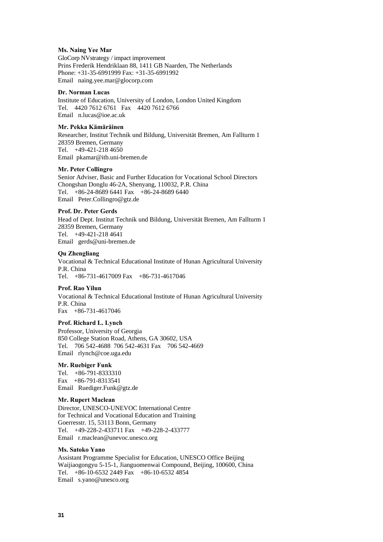#### **Ms. Naing Yee Mar**

GloCorp NVstrategy / impact improvement Prins Frederik Hendriklaan 88, 1411 GB Naarden, The Netherlands Phone: +31-35-6991999 Fax: +31-35-6991992 Email naing.yee.mar@glocorp.com

#### **Dr. Norman Lucas**

Institute of Education, University of London, London United Kingdom Tel. 4420 7612 6761 Fax 4420 7612 6766 Email n.lucas@ioe.ac.uk

#### **Mr. Pekka Kämäräinen**

Researcher, Institut Technik und Bildung, Universität Bremen, Am Fallturm 1 28359 Bremen, Germany Tel. +49-421-218 4650 Email pkamar@itb.uni-bremen.de

#### **Mr. Peter Collingro**

Senior Adviser, Basic and Further Education for Vocational School Directors Chongshan Donglu 46-2A, Shenyang, 110032, P.R. China Tel. +86-24-8689 6441 Fax +86-24-8689 6440 Email Peter.Collingro@gtz.de

#### **Prof. Dr. Peter Gerds**

Head of Dept. Institut Technik und Bildung, Universität Bremen, Am Fallturm 1 28359 Bremen, Germany Tel. +49-421-218 4641 Email gerds@uni-bremen.de

#### **Qu Zhengliang**

Vocational & Technical Educational Institute of Hunan Agricultural University P.R. China Tel. +86-731-4617009 Fax +86-731-4617046

#### **Prof. Rao Yilun**

Vocational & Technical Educational Institute of Hunan Agricultural University P.R. China Fax +86-731-4617046

#### **Prof. Richard L. Lynch**

Professor, University of Georgia 850 College Station Road, Athens, GA 30602, USA Tel. 706 542-4688 706 542-4631 Fax 706 542-4669 Email rlynch@coe.uga.edu

#### **Mr. Ruebiger Funk**

Tel. +86-791-8333310 Fax +86-791-8313541 Email Ruediger.Funk@gtz.de

#### **Mr. Rupert Maclean**

Director, UNESCO-UNEVOC International Centre for Technical and Vocational Education and Training Goerresstr. 15, 53113 Bonn, Germany Tel. +49-228-2-433711 Fax +49-228-2-433777 Email r.maclean@unevoc.unesco.org

#### **Ms. Satoko Yano**

Assistant Programme Specialist for Education, UNESCO Office Beijing Waijiaogongyu 5-15-1, Jianguomenwai Compound, Beijing, 100600, China Tel. +86-10-6532 2449 Fax +86-10-6532 4854 Email s.yano@unesco.org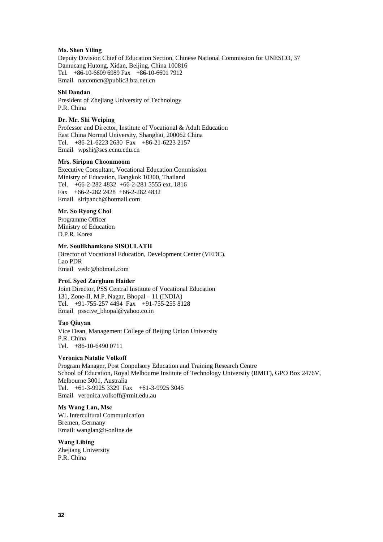#### **Ms. Shen Yiling**

Deputy Division Chief of Education Section, Chinese National Commission for UNESCO, 37 Damucang Hutong, Xidan, Beijing, China 100816 Tel. +86-10-6609 6989 Fax +86-10-6601 7912 Email natcomcn@public3.bta.net.cn

#### **Shi Dandan**

President of Zhejiang University of Technology P.R. China

#### **Dr. Mr. Shi Weiping**

Professor and Director, Institute of Vocational & Adult Education East China Normal University, Shanghai, 200062 China Tel. +86-21-6223 2630 Fax +86-21-6223 2157 Email wpshi@ses.ecnu.edu.cn

#### **Mrs. Siripan Choonmoom**

Executive Consultant, Vocational Education Commission Ministry of Education, Bangkok 10300, Thailand Tel. +66-2-282 4832 +66-2-281 5555 ext. 1816 Fax +66-2-282 2428 +66-2-282 4832 Email siripanch@hotmail.com

#### **Mr. So Ryong Chol**

Programme Officer Ministry of Education D.P.R. Korea

#### **Mr. Soulikhamkone SISOULATH**

Director of Vocational Education, Development Center (VEDC), Lao PDR Email vedc@hotmail.com

#### **Prof. Syed Zargham Haider**

Joint Director, PSS Central Institute of Vocational Education 131, Zone-II, M.P. Nagar, Bhopal – 11 (INDIA) Tel. +91-755-257 4494 Fax +91-755-255 8128 Email psscive\_bhopal@yahoo.co.in

#### **Tao Qiuyan**

Vice Dean, Management College of Beijing Union University P.R. China Tel. +86-10-6490 0711

#### **Veronica Natalie Volkoff**

Program Manager, Post Conpulsory Education and Training Research Centre School of Education, Royal Melbourne Institute of Technology University (RMIT), GPO Box 2476V, Melbourne 3001, Australia Tel. +61-3-9925 3329 Fax +61-3-9925 3045 Email veronica.volkoff@rmit.edu.au

#### **Ms Wang Lan, Msc**

WL Intercultural Communication Bremen, Germany Email: wanglan@t-online.de

**Wang Libing**  Zhejiang University P.R. China